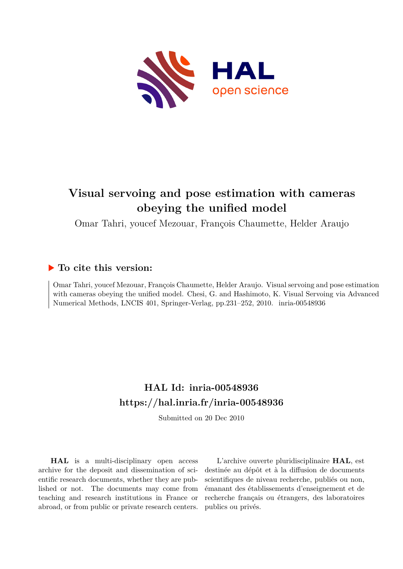

# **Visual servoing and pose estimation with cameras obeying the unified model**

Omar Tahri, youcef Mezouar, François Chaumette, Helder Araujo

# **To cite this version:**

Omar Tahri, youcef Mezouar, François Chaumette, Helder Araujo. Visual servoing and pose estimation with cameras obeying the unified model. Chesi, G. and Hashimoto, K. Visual Servoing via Advanced Numerical Methods, LNCIS 401, Springer-Verlag, pp.231-252, 2010. inria-00548936

# **HAL Id: inria-00548936 <https://hal.inria.fr/inria-00548936>**

Submitted on 20 Dec 2010

**HAL** is a multi-disciplinary open access archive for the deposit and dissemination of scientific research documents, whether they are published or not. The documents may come from teaching and research institutions in France or abroad, or from public or private research centers.

L'archive ouverte pluridisciplinaire **HAL**, est destinée au dépôt et à la diffusion de documents scientifiques de niveau recherche, publiés ou non, émanant des établissements d'enseignement et de recherche français ou étrangers, des laboratoires publics ou privés.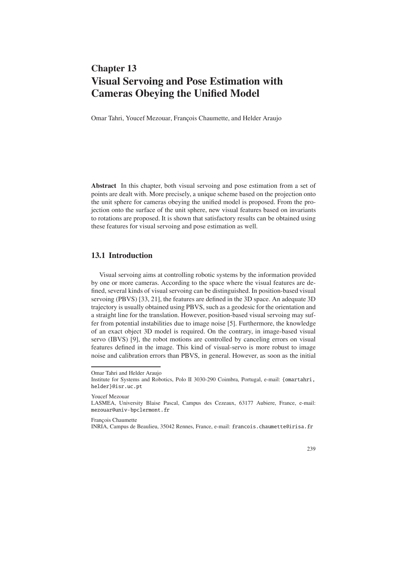# **Chapter 13 Visual Servoing and Pose Estimation with Cameras Obeying the Unified Model**

Omar Tahri, Youcef Mezouar, François Chaumette, and Helder Araujo

**Abstract** In this chapter, both visual servoing and pose estimation from a set of points are dealt with. More precisely, a unique scheme based on the projection onto the unit sphere for cameras obeying the unified model is proposed. From the projection onto the surface of the unit sphere, new visual features based on invariants to rotations are proposed. It is shown that satisfactory results can be obtained using these features for visual servoing and pose estimation as well.

## **13.1 Introduction**

Visual servoing aims at controlling robotic systems by the information provided by one or more cameras. According to the space where the visual features are defined, several kinds of visual servoing can be distinguished. In position-based visual servoing (PBVS) [33, 21], the features are defined in the 3D space. An adequate 3D trajectory is usually obtained using PBVS, such as a geodesic for the orientation and a straight line for the translation. However, position-based visual servoing may suffer from potential instabilities due to image noise [5]. Furthermore, the knowledge of an exact object 3D model is required. On the contrary, in image-based visual servo (IBVS) [9], the robot motions are controlled by canceling errors on visual features defined in the image. This kind of visual-servo is more robust to image noise and calibration errors than PBVS, in general. However, as soon as the initial

Youcef Mezouar

François Chaumette

239

Omar Tahri and Helder Araujo

Institute for Systems and Robotics, Polo II 3030-290 Coimbra, Portugal, e-mail: {omartahri, helder}@isr.uc.pt

LASMEA, University Blaise Pascal, Campus des Cezeaux, 63177 Aubiere, France, e-mail: mezouar@univ-bpclermont.fr

INRIA, Campus de Beaulieu, 35042 Rennes, France, e-mail: francois.chaumette@irisa.fr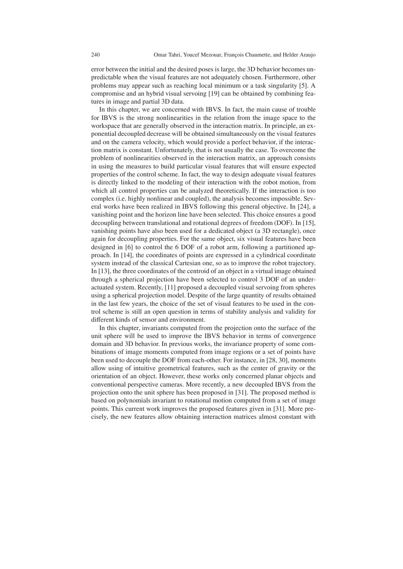error between the initial and the desired poses is large, the 3D behavior becomes unpredictable when the visual features are not adequately chosen. Furthermore, other problems may appear such as reaching local minimum or a task singularity [5]. A compromise and an hybrid visual servoing [19] can be obtained by combining features in image and partial 3D data.

In this chapter, we are concerned with IBVS. In fact, the main cause of trouble for IBVS is the strong nonlinearities in the relation from the image space to the workspace that are generally observed in the interaction matrix. In principle, an exponential decoupled decrease will be obtained simultaneously on the visual features and on the camera velocity, which would provide a perfect behavior, if the interaction matrix is constant. Unfortunately, that is not usually the case. To overcome the problem of nonlinearities observed in the interaction matrix, an approach consists in using the measures to build particular visual features that will ensure expected properties of the control scheme. In fact, the way to design adequate visual features is directly linked to the modeling of their interaction with the robot motion, from which all control properties can be analyzed theoretically. If the interaction is too complex (i.e. highly nonlinear and coupled), the analysis becomes impossible. Several works have been realized in IBVS following this general objective. In [24], a vanishing point and the horizon line have been selected. This choice ensures a good decoupling between translational and rotational degrees of freedom (DOF). In [15], vanishing points have also been used for a dedicated object (a 3D rectangle), once again for decoupling properties. For the same object, six visual features have been designed in [6] to control the 6 DOF of a robot arm, following a partitioned approach. In [14], the coordinates of points are expressed in a cylindrical coordinate system instead of the classical Cartesian one, so as to improve the robot trajectory. In [13], the three coordinates of the centroid of an object in a virtual image obtained through a spherical projection have been selected to control 3 DOF of an underactuated system. Recently, [11] proposed a decoupled visual servoing from spheres using a spherical projection model. Despite of the large quantity of results obtained in the last few years, the choice of the set of visual features to be used in the control scheme is still an open question in terms of stability analysis and validity for different kinds of sensor and environment.

In this chapter, invariants computed from the projection onto the surface of the unit sphere will be used to improve the IBVS behavior in terms of convergence domain and 3D behavior. In previous works, the invariance property of some combinations of image moments computed from image regions or a set of points have been used to decouple the DOF from each-other. For instance, in [28, 30], moments allow using of intuitive geometrical features, such as the center of gravity or the orientation of an object. However, these works only concerned planar objects and conventional perspective cameras. More recently, a new decoupled IBVS from the projection onto the unit sphere has been proposed in [31]. The proposed method is based on polynomials invariant to rotational motion computed from a set of image points. This current work improves the proposed features given in [31]. More precisely, the new features allow obtaining interaction matrices almost constant with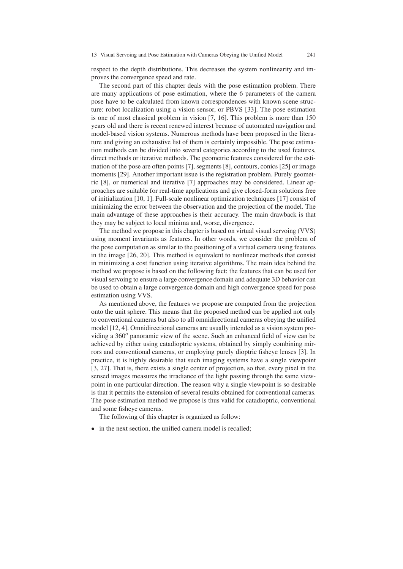respect to the depth distributions. This decreases the system nonlinearity and improves the convergence speed and rate.

The second part of this chapter deals with the pose estimation problem. There are many applications of pose estimation, where the 6 parameters of the camera pose have to be calculated from known correspondences with known scene structure: robot localization using a vision sensor, or PBVS [33]. The pose estimation is one of most classical problem in vision [7, 16]. This problem is more than 150 years old and there is recent renewed interest because of automated navigation and model-based vision systems. Numerous methods have been proposed in the literature and giving an exhaustive list of them is certainly impossible. The pose estimation methods can be divided into several categories according to the used features, direct methods or iterative methods. The geometric features considered for the estimation of the pose are often points [7], segments [8], contours, conics [25] or image moments [29]. Another important issue is the registration problem. Purely geometric [8], or numerical and iterative [7] approaches may be considered. Linear approaches are suitable for real-time applications and give closed-form solutions free of initialization [10, 1]. Full-scale nonlinear optimization techniques [17] consist of minimizing the error between the observation and the projection of the model. The main advantage of these approaches is their accuracy. The main drawback is that they may be subject to local minima and, worse, divergence.

The method we propose in this chapter is based on virtual visual servoing (VVS) using moment invariants as features. In other words, we consider the problem of the pose computation as similar to the positioning of a virtual camera using features in the image [26, 20]. This method is equivalent to nonlinear methods that consist in minimizing a cost function using iterative algorithms. The main idea behind the method we propose is based on the following fact: the features that can be used for visual servoing to ensure a large convergence domain and adequate 3D behavior can be used to obtain a large convergence domain and high convergence speed for pose estimation using VVS.

As mentioned above, the features we propose are computed from the projection onto the unit sphere. This means that the proposed method can be applied not only to conventional cameras but also to all omnidirectional cameras obeying the unified model [12, 4]. Omnidirectional cameras are usually intended as a vision system providing a 360*<sup>o</sup>* panoramic view of the scene. Such an enhanced field of view can be achieved by either using catadioptric systems, obtained by simply combining mirrors and conventional cameras, or employing purely dioptric fisheye lenses [3]. In practice, it is highly desirable that such imaging systems have a single viewpoint [3, 27]. That is, there exists a single center of projection, so that, every pixel in the sensed images measures the irradiance of the light passing through the same viewpoint in one particular direction. The reason why a single viewpoint is so desirable is that it permits the extension of several results obtained for conventional cameras. The pose estimation method we propose is thus valid for catadioptric, conventional and some fisheye cameras.

The following of this chapter is organized as follow:

• in the next section, the unified camera model is recalled;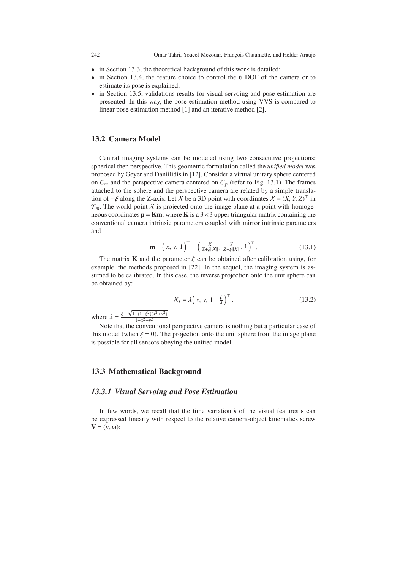242 Omar Tahri, Youcef Mezouar, François Chaumette, and Helder Araujo

- in Section 13.3, the theoretical background of this work is detailed;
- in Section 13.4, the feature choice to control the 6 DOF of the camera or to estimate its pose is explained;
- in Section 13.5, validations results for visual servoing and pose estimation are presented. In this way, the pose estimation method using VVS is compared to linear pose estimation method [1] and an iterative method [2].

## **13.2 Camera Model**

Central imaging systems can be modeled using two consecutive projections: spherical then perspective. This geometric formulation called the *unified model* was proposed by Geyer and Daniilidis in [12]. Consider a virtual unitary sphere centered on  $C_m$  and the perspective camera centered on  $C_p$  (refer to Fig. 13.1). The frames attached to the sphere and the perspective camera are related by a simple translation of  $-\xi$  along the Z-axis. Let X be a 3D point with coordinates  $X = (X, Y, Z)^{\top}$  in  $\mathcal{F}_m$ . The world point X is projected onto the image plane at a point with homogeneous coordinates  $\mathbf{p} = \mathbf{K}\mathbf{m}$ , where **K** is a  $3 \times 3$  upper triangular matrix containing the conventional camera intrinsic parameters coupled with mirror intrinsic parameters and

$$
\mathbf{m} = \left(x, y, 1\right)^{\top} = \left(\frac{X}{Z + \xi ||X||}, \frac{Y}{Z + \xi ||X||}, 1\right)^{\top}.
$$
 (13.1)

The matrix **K** and the parameter  $\xi$  can be obtained after calibration using, for example, the methods proposed in [22]. In the sequel, the imaging system is assumed to be calibrated. In this case, the inverse projection onto the unit sphere can be obtained by:

$$
\mathcal{X}_s = \lambda \left( x, y, 1 - \frac{\xi}{\lambda} \right)^{\top},\tag{13.2}
$$

where  $\lambda = \frac{\xi + \xi}{\xi + \xi}$  $\sqrt{1+(1-\xi^2)(x^2+y^2)}$  $1+x^2+y^2$ 

Note that the conventional perspective camera is nothing but a particular case of this model (when  $\xi = 0$ ). The projection onto the unit sphere from the image plane is possible for all sensors obeying the unified model.

#### **13.3 Mathematical Background**

#### *13.3.1 Visual Servoing and Pose Estimation*

In few words, we recall that the time variation **s˙** of the visual features **s** can be expressed linearly with respect to the relative camera-object kinematics screw  $V = (v, \omega)$ :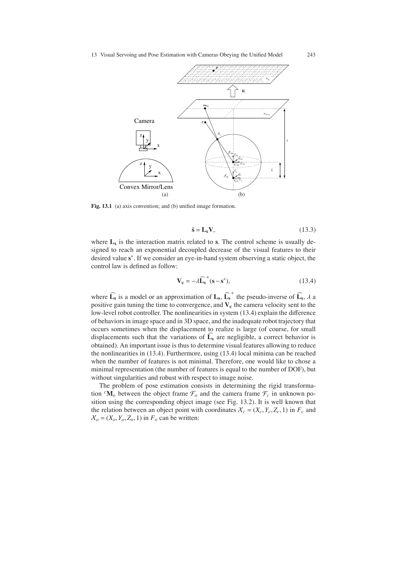

Fig. 13.1 (a) axis convention; and (b) unified image formation.

$$
\dot{\mathbf{s}} = \mathbf{L}_{\mathbf{s}} \mathbf{V},\tag{13.3}
$$

where  $L_s$  is the interaction matrix related to  $s$ . The control scheme is usually designed to reach an exponential decoupled decrease of the visual features to their desired value **s**∗. If we consider an eye-in-hand system observing a static object, the control law is defined as follow:

$$
\mathbf{V}_{\mathbf{c}} = -\lambda \widehat{\mathbf{L}}_{\mathbf{s}}^{+} (\mathbf{s} - \mathbf{s}^{*}),\tag{13.4}
$$

where  $\widehat{\mathbf{L}_{s}}$  is a model or an approximation of  $\mathbf{L}_{s}$ ,  $\widehat{\mathbf{L}_{s}}^{+}$  the pseudo-inverse of  $\widehat{\mathbf{L}_{s}}$ ,  $\lambda$  a positive gain tuning the time to convergence, and  $V_c$  the camera velocity sent to the low-level robot controller. The nonlinearities in system (13.4) explain the difference of behaviors in image space and in 3D space, and the inadequate robot trajectory that occurs sometimes when the displacement to realize is large (of course, for small displacements such that the variations of  $L_s$  are negligible, a correct behavior is<br>the included the interval in the state of the state of the translation of the inclusive obtained). An important issue is thus to determine visual features allowing to reduce the nonlinearities in (13.4). Furthermore, using (13.4) local minima can be reached when the number of features is not minimal. Therefore, one would like to chose a minimal representation (the number of features is equal to the number of DOF), but without singularities and robust with respect to image noise.

The problem of pose estimation consists in determining the rigid transformation  ${}^{c}$ **M**<sub>*o*</sub> between the object frame  $\mathcal{F}_o$  and the camera frame  $\mathcal{F}_c$  in unknown position using the corresponding object image (see Fig. 13.2). It is well known that the relation between an object point with coordinates  $X_c = (X_c, Y_c, Z_c, 1)$  in  $F_c$  and  $X_o = (X_o, Y_o, Z_o, 1)$  in  $F_o$  can be written: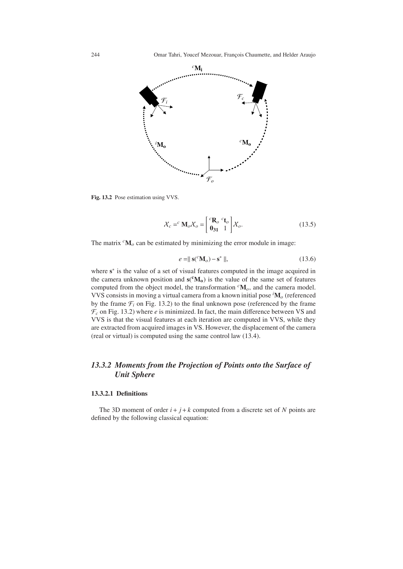

**Fig. 13.2** Pose estimation using VVS.

$$
\mathcal{X}_c =^c \mathbf{M}_o \mathcal{X}_o = \begin{bmatrix} ^c \mathbf{R}_o & ^c \mathbf{t}_o \\ \mathbf{0}_{31} & ^1 \end{bmatrix} \mathcal{X}_o.
$$
 (13.5)

The matrix  ${}^{c}$ **M**<sub> $o$ </sub> can be estimated by minimizing the error module in image:

$$
e = ||\mathbf{s}(^c \mathbf{M}_o) - \mathbf{s}^*||, \tag{13.6}
$$

where **s**<sup>∗</sup> is the value of a set of visual features computed in the image acquired in the camera unknown position and  $\mathbf{s}(\mathbf{^cM_0})$  is the value of the same set of features computed from the object model, the transformation *<sup>c</sup>***M***o*, and the camera model. VVS consists in moving a virtual camera from a known initial pose *<sup>i</sup>* **M***<sup>o</sup>* (referenced by the frame  $\mathcal{F}_i$  on Fig. 13.2) to the final unknown pose (referenced by the frame  $\mathcal{F}_c$  on Fig. 13.2) where *e* is minimized. In fact, the main difference between VS and VVS is that the visual features at each iteration are computed in VVS, while they are extracted from acquired images in VS. However, the displacement of the camera (real or virtual) is computed using the same control law (13.4).

# *13.3.2 Moments from the Projection of Points onto the Surface of Unit Sphere*

#### **13.3.2.1 Definitions**

The 3D moment of order  $i + j + k$  computed from a discrete set of *N* points are defined by the following classical equation: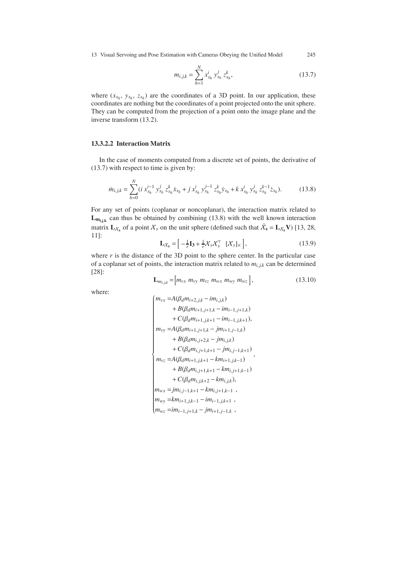13 Visual Servoing and Pose Estimation with Cameras Obeying the Unified Model 245

$$
m_{i,j,k} = \sum_{h=1}^{N} x_{s_h}^i y_{s_h}^j z_{s_h}^k,
$$
\n(13.7)

where  $(x_{s_h}, y_{s_h}, z_{s_h})$  are the coordinates of a 3D point. In our application, these coordinates are nothing but the coordinates of a point projected onto the unit sphere. They can be computed from the projection of a point onto the image plane and the inverse transform (13.2).

#### **13.3.2.2 Interaction Matrix**

In the case of moments computed from a discrete set of points, the derivative of (13.7) with respect to time is given by:

$$
\dot{m}_{i,j,k} = \sum_{h=0}^{N} (i \; x_{s_h}^{i-1} \; y_{s_h}^j \; z_{s_h}^k \dot{x}_{s_h} + j \; x_{s_h}^i \; y_{s_h}^{j-1} \; z_{s_h}^k \dot{y}_{s_h} + k \; x_{s_h}^i \; y_{s_h}^j \; z_{s_h}^{k-1} \dot{z}_{s_h}). \tag{13.8}
$$

For any set of points (coplanar or noncoplanar), the interaction matrix related to  $L_{m_{i,j,k}}$  can thus be obtained by combining (13.8) with the well known interaction matrix  $\mathbf{L}_{\chi_s}$  of a point  $\chi_s$  on the unit sphere (defined such that  $\dot{\chi}_s = \mathbf{L}_{\chi_s} \mathbf{V}$ ) [13, 28, 11]:

$$
\mathbf{L}\chi_{\rm s} = \left[ -\frac{1}{r} \mathbf{I}_3 + \frac{1}{r} \mathcal{X}_s \mathcal{X}_s^\top \left[ \mathcal{X}_s \right] \right],\tag{13.9}
$$

where  $r$  is the distance of the 3D point to the sphere center. In the particular case of a coplanar set of points, the interaction matrix related to  $m_{i,j,k}$  can be determined [28]:

$$
\mathbf{L}_{m_{i,j,k}} = \left[ m_{vx} \ m_{vy} \ m_{vz} \ m_{wx} \ m_{wy} \ m_{wz} \right],\tag{13.10}
$$

where:

$$
\begin{cases}\nm_{vx} = A(\beta_d m_{i+2,j,k} - im_{i,j,k}) \\
+ B(\beta_d m_{i+1,j+1,k} - im_{i-1,j+1,k}) \\
+ C(\beta_d m_{i+1,j,k+1} - im_{i-1,j,k+1}), \\
m_{vy} = A(\beta_d m_{i+1,j+1,k} - jm_{i+1,j-1,k}) \\
+ B(\beta_d m_{i,j+2,k} - jm_{i,j,k}) \\
+ C(\beta_d m_{i,j+1,k+1} - jm_{i,j-1,k+1}) \\
m_{vz} = A(\beta_d m_{i+1,j,k+1} - km_{i+1,j,k-1}) \\
+ B(\beta_d m_{i,j+1,k+1} - km_{i,j+1,k-1}) \\
+ C(\beta_d m_{i,j,k+2} - km_{i,j,k}), \\
m_{wx} = jm_{i,j-1,k+1} - km_{i,j+1,k-1}, \\
m_{wy} = km_{i+1,j,k-1} - im_{i-1,j,k+1}, \\
m_{wz} = im_{i-1,j+1,k} - jm_{i+1,j-1,k},\n\end{cases}
$$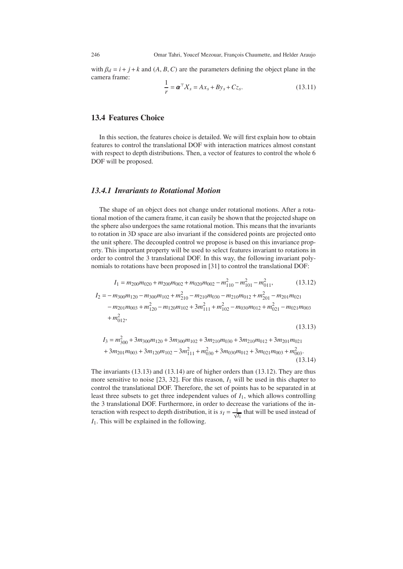with  $\beta_d = i + j + k$  and  $(A, B, C)$  are the parameters defining the object plane in the camera frame:

$$
\frac{1}{r} = \boldsymbol{\alpha}^{\top} \boldsymbol{X}_s = A x_s + B y_s + C z_s. \tag{13.11}
$$

# **13.4 Features Choice**

In this section, the features choice is detailed. We will first explain how to obtain features to control the translational DOF with interaction matrices almost constant with respect to depth distributions. Then, a vector of features to control the whole 6 DOF will be proposed.

### *13.4.1 Invariants to Rotational Motion*

The shape of an object does not change under rotational motions. After a rotational motion of the camera frame, it can easily be shown that the projected shape on the sphere also undergoes the same rotational motion. This means that the invariants to rotation in 3D space are also invariant if the considered points are projected onto the unit sphere. The decoupled control we propose is based on this invariance property. This important property will be used to select features invariant to rotations in order to control the 3 translational DOF. In this way, the following invariant polynomials to rotations have been proposed in [31] to control the translational DOF:

$$
I_1 = m_{200}m_{020} + m_{200}m_{002} + m_{020}m_{002} - m_{110}^2 - m_{101}^2 - m_{011}^2, \qquad (13.12)
$$
  
\n
$$
I_2 = -m_{300}m_{120} - m_{300}m_{102} + m_{210}^2 - m_{210}m_{030} - m_{210}m_{012} + m_{201}^2 - m_{201}m_{021} - m_{201}m_{003} + m_{120}^2 - m_{120}m_{102} + 3m_{111}^2 + m_{102}^2 - m_{030}m_{012} + m_{021}^2 - m_{021}m_{003} + m_{012}^2, \qquad (13.13)
$$

$$
I_3 = m_{300}^2 + 3m_{300}m_{120} + 3m_{300}m_{102} + 3m_{210}m_{030} + 3m_{210}m_{012} + 3m_{201}m_{021} + 3m_{201}m_{003} + 3m_{120}m_{102} - 3m_{111}^2 + m_{030}^2 + 3m_{030}m_{012} + 3m_{021}m_{003} + m_{003}^2
$$
\n(13.14)

The invariants (13.13) and (13.14) are of higher orders than (13.12). They are thus more sensitive to noise  $[23, 32]$ . For this reason,  $I_1$  will be used in this chapter to control the translational DOF. Therefore, the set of points has to be separated in at least three subsets to get three independent values of *I*1, which allows controlling the 3 translational DOF. Furthermore, in order to decrease the variations of the interaction with respect to depth distribution, it is  $s_I = \frac{1}{\sqrt{I_1}}$  that will be used instead of *I*1. This will be explained in the following.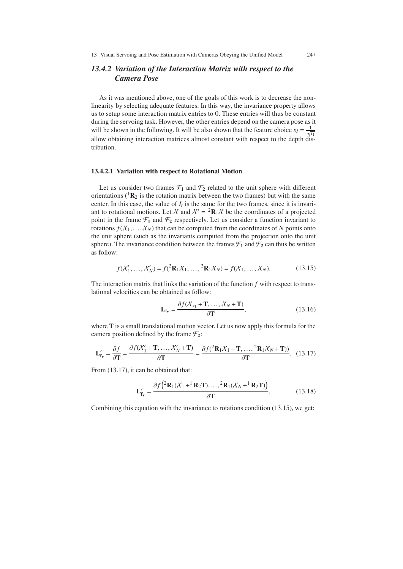# *13.4.2 Variation of the Interaction Matrix with respect to the Camera Pose*

As it was mentioned above, one of the goals of this work is to decrease the nonlinearity by selecting adequate features. In this way, the invariance property allows us to setup some interaction matrix entries to 0. These entries will thus be constant during the servoing task. However, the other entries depend on the camera pose as it will be shown in the following. It will be also shown that the feature choice  $s_I = \frac{1}{\sqrt{I_I}}$ allow obtaining interaction matrices almost constant with respect to the depth distribution.

#### **13.4.2.1 Variation with respect to Rotational Motion**

Let us consider two frames  $\mathcal{F}_1$  and  $\mathcal{F}_2$  related to the unit sphere with different orientations ( ${}^{1}R_{2}$  is the rotation matrix between the two frames) but with the same center. In this case, the value of  $I_t$  is the same for the two frames, since it is invariant to rotational motions. Let X and  $X' = {}^2\mathbf{R}_1 X$  be the coordinates of a projected point in the frame  $\mathcal{F}_1$  and  $\mathcal{F}_2$  respectively. Let us consider a function invariant to rotations  $f(X_1,...,X_N)$  that can be computed from the coordinates of N points onto the unit sphere (such as the invariants computed from the projection onto the unit sphere). The invariance condition between the frames  $\mathcal{F}_1$  and  $\mathcal{F}_2$  can thus be written as follow:

$$
f(X'_1, ..., X'_N) = f({}^2\mathbf{R}_1X_1, ..., {}^2\mathbf{R}_1X_N) = f(X_1, ..., X_N).
$$
 (13.15)

The interaction matrix that links the variation of the function *f* with respect to translational velocities can be obtained as follow:

$$
\mathbf{L}_{\mathbf{f}_{\mathbf{v}}} = \frac{\partial f(X_{s_1} + \mathbf{T}, \dots, X_N + \mathbf{T})}{\partial \mathbf{T}},
$$
\n(13.16)

where **T** is a small translational motion vector. Let us now apply this formula for the camera position defined by the frame  $\mathcal{F}_2$ :

$$
\mathbf{L'_{f_v}} = \frac{\partial f}{\partial \mathbf{T}} = \frac{\partial f(\mathcal{X}'_1 + \mathbf{T}, \dots, \mathcal{X}'_N + \mathbf{T})}{\partial \mathbf{T}} = \frac{\partial f(\mathcal{X}_1 + \mathbf{T}, \dots, \mathcal{X}_N + \mathbf{T}))}{\partial \mathbf{T}}.
$$
 (13.17)

From (13.17), it can be obtained that:

$$
\mathbf{L'_{f_v}} = \frac{\partial f\left(\mathbf{R_1}(X_1 + \mathbf{R_2}T), \dots, \mathbf{R_1}(X_N + \mathbf{R_2}T)\right)}{\partial T}.
$$
 (13.18)

Combining this equation with the invariance to rotations condition (13.15), we get: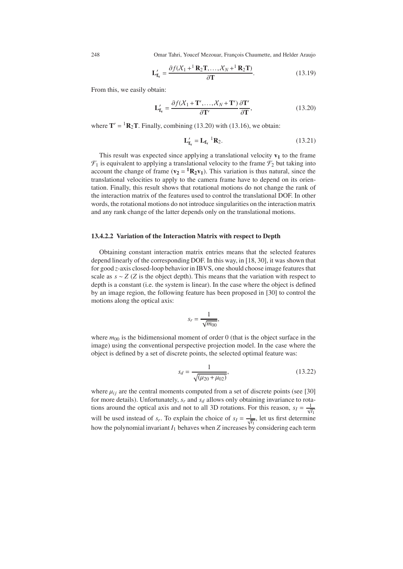248 Omar Tahri, Youcef Mezouar, François Chaumette, and Helder Araujo

$$
\mathbf{L'_{f_v}} = \frac{\partial f(X_1 + ^1\mathbf{R}_2\mathbf{T}, \dots, X_N + ^1\mathbf{R}_2\mathbf{T})}{\partial \mathbf{T}}.
$$
 (13.19)

From this, we easily obtain:

$$
\mathbf{L'_{f_v}} = \frac{\partial f(X_1 + \mathbf{T}', \dots, X_N + \mathbf{T}')}{\partial \mathbf{T}'} \frac{\partial \mathbf{T}'}{\partial \mathbf{T}},
$$
(13.20)

where  $T' = {}^{1}R_{2}T$ . Finally, combining (13.20) with (13.16), we obtain:

$$
\mathbf{L'_{f_v}} = \mathbf{L_{f_v}}^{-1} \mathbf{R_2}.
$$
 (13.21)

This result was expected since applying a translational velocity  $v_1$  to the frame  $\mathcal{F}_1$  is equivalent to applying a translational velocity to the frame  $\mathcal{F}_2$  but taking into account the change of frame  $(v_2 = {}^1R_2v_1)$ . This variation is thus natural, since the translational velocities to apply to the camera frame have to depend on its orientation. Finally, this result shows that rotational motions do not change the rank of the interaction matrix of the features used to control the translational DOF. In other words, the rotational motions do not introduce singularities on the interaction matrix and any rank change of the latter depends only on the translational motions.

#### **13.4.2.2 Variation of the Interaction Matrix with respect to Depth**

Obtaining constant interaction matrix entries means that the selected features depend linearly of the corresponding DOF. In this way, in [18, 30], it was shown that for good *z*-axis closed-loop behavior in IBVS, one should choose image features that scale as  $s \sim Z$  (*Z* is the object depth). This means that the variation with respect to depth is a constant (i.e. the system is linear). In the case where the object is defined by an image region, the following feature has been proposed in [30] to control the motions along the optical axis:

$$
s_r = \frac{1}{\sqrt{m_{00}}},
$$

where  $m<sub>00</sub>$  is the bidimensional moment of order 0 (that is the object surface in the image) using the conventional perspective projection model. In the case where the object is defined by a set of discrete points, the selected optimal feature was:

$$
s_d = \frac{1}{\sqrt{(\mu_{20} + \mu_{02})}},\tag{13.22}
$$

where  $\mu_{ij}$  are the central moments computed from a set of discrete points (see [30] for more details). Unfortunately,  $s_r$  and  $s_d$  allows only obtaining invariance to rotations around the optical axis and not to all 3D rotations. For this reason,  $s_I = \frac{1}{\sqrt{I_I}}$ will be used instead of *s<sub>r</sub>*. To explain the choice of  $s_I = \frac{1}{\sqrt{I_1}}$ , let us first determine how the polynomial invariant  $I_1$  behaves when  $Z$  increases by considering each term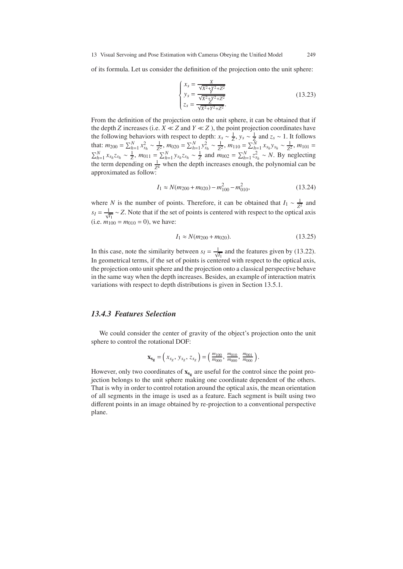of its formula. Let us consider the definition of the projection onto the unit sphere:

$$
\begin{cases}\nx_s = \frac{X}{\sqrt{X^2 + Y^2 + Z^2}} \\
y_s = \frac{X}{\sqrt{X^2 + Y^2 + Z^2}} \\
z_s = \frac{X}{\sqrt{X^2 + Y^2 + Z^2}}.\n\end{cases}
$$
\n(13.23)

From the definition of the projection onto the unit sphere, it can be obtained that if the depth *Z* increases (i.e.  $X \ll Z$  and  $Y \ll Z$ ), the point projection coordinates have the following behaviors with respect to depth:  $x_s \sim \frac{1}{Z}$ ,  $y_s \sim \frac{1}{Z}$  and  $z_s \sim 1$ . It follows that:  $m_{200} = \sum_{h=1}^{N} x_{s_h}^2 \sim \frac{1}{Z^2}$ ,  $m_{020} = \sum_{h=1}^{N} y_{s_h}^2 \sim \frac{1}{Z^2}$ ,  $m_{110} = \sum_{h=1}^{N} x_{s_h} y_{s_h} \sim \frac{1}{Z^2}$ ,  $m_{101} =$  $\sum_{h=1}^{N} x_{s_h} z_{s_h} \sim \frac{1}{Z}$ ,  $m_{011} = \sum_{h=1}^{N} y_{s_h} z_{s_h} \sim \frac{1}{Z}$  and  $m_{002} = \sum_{h=1}^{N} z_{s_h}^2 \sim N$ . By neglecting the term depending on  $\frac{1}{Z^4}$  when the depth increases enough, the polynomial can be approximated as follow:

$$
I_1 \approx N(m_{200} + m_{020}) - m_{100}^2 - m_{010}^2,\tag{13.24}
$$

where *N* is the number of points. Therefore, it can be obtained that  $I_1 \sim \frac{1}{Z^2}$  and  $s_I = \frac{1}{\sqrt{I_1}}$  ~ *Z*. Note that if the set of points is centered with respect to the optical axis (i.e.  $m_{100} = m_{010} = 0$ ), we have:

$$
I_1 \approx N(m_{200} + m_{020}).\tag{13.25}
$$

In this case, note the similarity between  $s_I = \frac{1}{\sqrt{I_1}}$  and the features given by (13.22). In geometrical terms, if the set of points is centered with respect to the optical axis, the projection onto unit sphere and the projection onto a classical perspective behave in the same way when the depth increases. Besides, an example of interaction matrix variations with respect to depth distributions is given in Section 13.5.1.

#### *13.4.3 Features Selection*

We could consider the center of gravity of the object's projection onto the unit sphere to control the rotational DOF:

$$
\mathbf{x}_{\mathbf{s}_{\mathbf{g}}} = \left(x_{s_g}, y_{s_g}, z_{s_g}\right) = \left(\frac{m_{100}}{m_{000}}, \frac{m_{010}}{m_{000}}, \frac{m_{001}}{m_{000}}\right).
$$

However, only two coordinates of  $\mathbf{x}_{s_g}$  are useful for the control since the point projection belongs to the unit sphere making one coordinate dependent of the others. That is why in order to control rotation around the optical axis, the mean orientation of all segments in the image is used as a feature. Each segment is built using two different points in an image obtained by re-projection to a conventional perspective plane.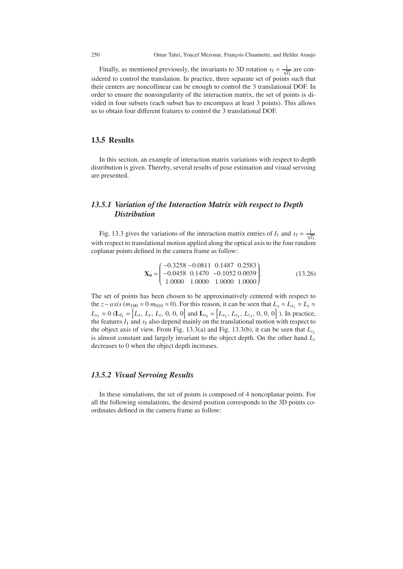250 Omar Tahri, Youcef Mezouar, François Chaumette, and Helder Araujo

Finally, as mentioned previously, the invariants to 3D rotation  $s_I = \frac{1}{\sqrt{I_1}}$  are considered to control the translation. In practice, three separate set of points such that their centers are noncollinear can be enough to control the 3 translational DOF. In order to ensure the nonsingularity of the interaction matrix, the set of points is divided in four subsets (each subset has to encompass at least 3 points). This allows us to obtain four different features to control the 3 translational DOF.

# **13.5 Results**

In this section, an example of interaction matrix variations with respect to depth distribution is given. Thereby, several results of pose estimation and visual servoing are presented.

# *13.5.1 Variation of the Interaction Matrix with respect to Depth Distribution*

Fig. 13.3 gives the variations of the interaction matrix entries of  $I_1$  and  $s_I = \frac{1}{\sqrt{I_1}}$ with respect to translational motion applied along the optical axis to the four random coplanar points defined in the camera frame as follow:

$$
\mathbf{X}_{o} = \begin{pmatrix} -0.3258 & -0.0811 & 0.1487 & 0.2583 \\ -0.0458 & 0.1470 & -0.1052 & 0.0039 \\ 1.0000 & 1.0000 & 1.0000 & 1.0000 \end{pmatrix}.
$$
 (13.26)

The set of points has been chosen to be approximatively centered with respect to the *z*−*axis* ( $m_{100} \approx 0$   $m_{010} \approx 0$ ). For this reason, it can be seen that  $L_x \approx L_{x_1} \approx L_y \approx$  $L_{y_1} \approx 0$  ( $\mathbf{L}_{I_1} = \begin{bmatrix} L_x, L_y, L_z, 0, 0, 0 \end{bmatrix}$  and  $\mathbf{L}_{s_I} = \begin{bmatrix} L_{x_1}, L_{y_1}, L_{z_1}, 0, 0, 0 \end{bmatrix}$ ). In practice, the features  $I_1$  and  $s_I$  also depend mainly on the translational motion with respect to the object axis of view. From Fig. 13.3(a) and Fig. 13.3(b), it can be seen that  $L_{z_1}$ is almost constant and largely invariant to the object depth. On the other hand *Lz* decreases to 0 when the object depth increases.

#### *13.5.2 Visual Servoing Results*

In these simulations, the set of points is composed of 4 noncoplanar points. For all the following simulations, the desired position corresponds to the 3D points coordinates defined in the camera frame as follow: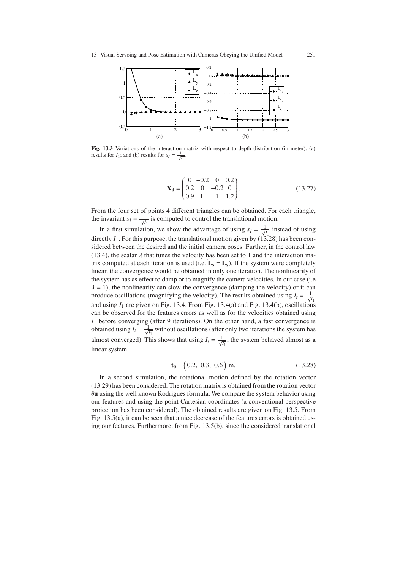

**Fig. 13.3** Variations of the interaction matrix with respect to depth distribution (in meter): (a) results for *I*<sub>1</sub>; and (b) results for  $s_I = \frac{1}{\sqrt{I_1}}$ .

$$
\mathbf{X_d} = \begin{pmatrix} 0 & -0.2 & 0 & 0.2 \\ 0.2 & 0 & -0.2 & 0 \\ 0.9 & 1 & 1 & 1.2 \end{pmatrix} .
$$
 (13.27)

From the four set of points 4 different triangles can be obtained. For each triangle, the invariant  $s_I = \frac{1}{\sqrt{I_1}}$  is computed to control the translational motion.

In a first simulation, we show the advantage of using  $s_I = \frac{1}{\sqrt{I_1}}$  instead of using directly  $I_1$ . For this purpose, the translational motion given by  $(13.28)$  has been considered between the desired and the initial camera poses. Further, in the control law (13.4), the scalar  $\lambda$  that tunes the velocity has been set to 1 and the interaction matrix computed at each iteration is used (i.e.  $\hat{\mathbf{L}}_{\mathbf{s}} = \mathbf{L}_{\mathbf{s}}$ ). If the system were completely linear, the convergence would be obtained in only one iteration. The nonlinearity of the system has as effect to damp or to magnify the camera velocities. In our case (i.e  $\lambda = 1$ ), the nonlinearity can slow the convergence (damping the velocity) or it can produce oscillations (magnifying the velocity). The results obtained using  $I_t = \frac{1}{\sqrt{I_1}}$ and using  $I_1$  are given on Fig. 13.4. From Fig. 13.4(a) and Fig. 13.4(b), oscillations can be observed for the features errors as well as for the velocities obtained using  $I_1$  before converging (after 9 iterations). On the other hand, a fast convergence is obtained using  $I_t = \frac{1}{\sqrt{I_1}}$  without oscillations (after only two iterations the system has almost converged). This shows that using  $I_t = \frac{1}{\sqrt{I_1}}$ , the system behaved almost as a linear system.

$$
\mathbf{t_0} = (0.2, 0.3, 0.6) \text{ m.} \tag{13.28}
$$

In a second simulation, the rotational motion defined by the rotation vector (13.29) has been considered. The rotation matrix is obtained from the rotation vector θ**u** using the well known Rodrigues formula. We compare the system behavior using our features and using the point Cartesian coordinates (a conventional perspective projection has been considered). The obtained results are given on Fig. 13.5. From Fig. 13.5(a), it can be seen that a nice decrease of the features errors is obtained using our features. Furthermore, from Fig. 13.5(b), since the considered translational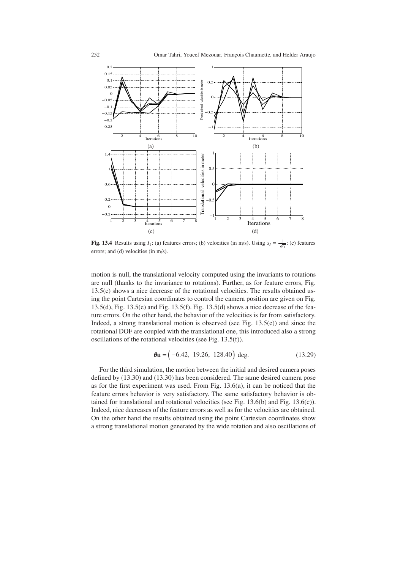

**Fig. 13.4** Results using  $I_1$ : (a) features errors; (b) velocities (in m/s). Using  $s_I = \frac{1}{\sqrt{I_1}}$ : (c) features errors; and (d) velocities (in m/s).

motion is null, the translational velocity computed using the invariants to rotations are null (thanks to the invariance to rotations). Further, as for feature errors, Fig. 13.5(c) shows a nice decrease of the rotational velocities. The results obtained using the point Cartesian coordinates to control the camera position are given on Fig. 13.5(d), Fig.  $13.5(e)$  and Fig.  $13.5(f)$ . Fig.  $13.5(d)$  shows a nice decrease of the feature errors. On the other hand, the behavior of the velocities is far from satisfactory. Indeed, a strong translational motion is observed (see Fig.  $13.5(e)$ ) and since the rotational DOF are coupled with the translational one, this introduced also a strong oscillations of the rotational velocities (see Fig. 13.5(f)).

$$
\theta \mathbf{u} = (-6.42, 19.26, 128.40) \text{ deg.}
$$
 (13.29)

For the third simulation, the motion between the initial and desired camera poses defined by (13.30) and (13.30) has been considered. The same desired camera pose as for the first experiment was used. From Fig. 13.6(a), it can be noticed that the feature errors behavior is very satisfactory. The same satisfactory behavior is obtained for translational and rotational velocities (see Fig. 13.6(b) and Fig. 13.6(c)). Indeed, nice decreases of the feature errors as well as for the velocities are obtained. On the other hand the results obtained using the point Cartesian coordinates show a strong translational motion generated by the wide rotation and also oscillations of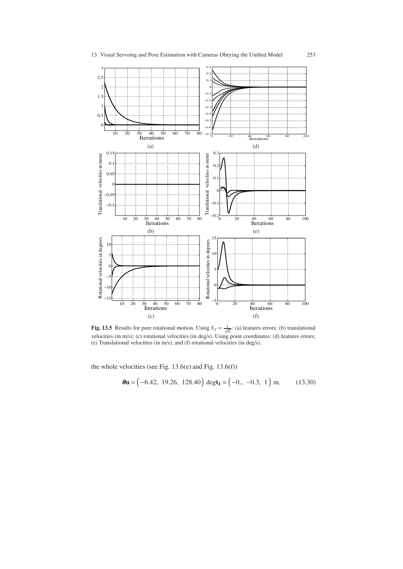

**Fig. 13.5** Results for pure rotational motion. Using  $S_I = \frac{1}{\sqrt{I_1}}$ : (a) features errors; (b) translational velocities (in m/s); (c) rotational velocities (in deg/s). Using point coordinates: (d) features errors; (e) Translational velocities (in m/s); and (f) rotational velocities (in deg/s).

the whole velocities (see Fig. 13.6(e) and Fig. 13.6(f))

$$
\theta
$$
**u** = (-6.42, 19.26, 128.40) degt<sub>1</sub> = (-0., -0.3, 1) m. (13.30)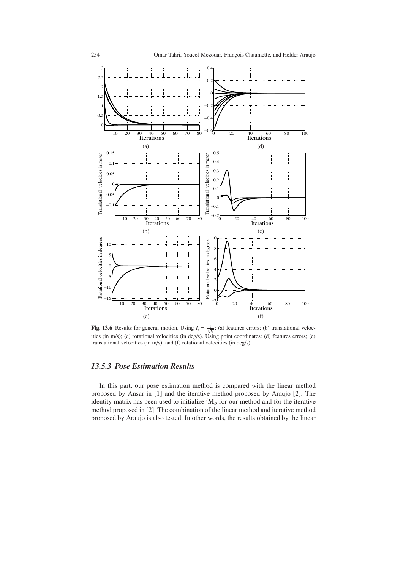

**Fig. 13.6** Results for general motion. Using  $I_t = \frac{1}{\sqrt{I_1}}$ : (a) features errors; (b) translational velocities (in m/s); (c) rotational velocities (in deg/s). Using point coordinates: (d) features errors; (e) translational velocities (in m/s); and (f) rotational velocities (in deg/s).

# *13.5.3 Pose Estimation Results*

In this part, our pose estimation method is compared with the linear method proposed by Ansar in [1] and the iterative method proposed by Araujo [2]. The identity matrix has been used to initialize *<sup>i</sup>* **M***<sup>o</sup>* for our method and for the iterative method proposed in [2]. The combination of the linear method and iterative method proposed by Araujo is also tested. In other words, the results obtained by the linear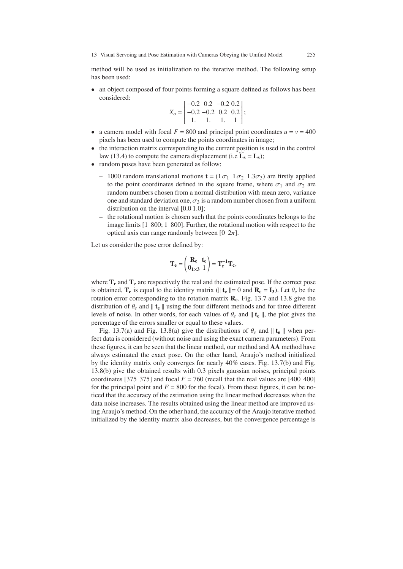13 Visual Servoing and Pose Estimation with Cameras Obeying the Unified Model 255

method will be used as initialization to the iterative method. The following setup has been used:

• an object composed of four points forming a square defined as follows has been considered:

$$
X_o = \begin{bmatrix} -0.2 & 0.2 & -0.2 & 0.2 \\ -0.2 & -0.2 & 0.2 & 0.2 \\ 1. & 1. & 1. & 1 \end{bmatrix};
$$

- a camera model with focal  $F = 800$  and principal point coordinates  $u = v = 400$ pixels has been used to compute the points coordinates in image;
- the interaction matrix corresponding to the current position is used in the control law (13.4) to compute the camera displacement (i.e  $\hat{\mathbf{L}}_s = \mathbf{L}_s$ );
- random poses have been generated as follow:
	- 1000 random translational motions  $\mathbf{t} = (1\sigma_1 \quad 1\sigma_2 \quad 1.3\sigma_3)$  are firstly applied to the point coordinates defined in the square frame, where  $\sigma_1$  and  $\sigma_2$  are random numbers chosen from a normal distribution with mean zero, variance one and standard deviation one,  $\sigma_3$  is a random number chosen from a uniform distribution on the interval [0.0 1.0];
	- the rotational motion is chosen such that the points coordinates belongs to the image limits [1 800; 1 800]. Further, the rotational motion with respect to the optical axis can range randomly between  $[0 2\pi]$ .

Let us consider the pose error defined by:

$$
\mathbf{T}_e = \begin{pmatrix} \mathbf{R}_e & \mathbf{t}_e \\ \mathbf{0}_{1 \times 3} & 1 \end{pmatrix} = \mathbf{T}_r^{-1} \mathbf{T}_c,
$$

where  $T_r$  and  $T_c$  are respectively the real and the estimated pose. If the correct pose is obtained,  $\mathbf{T}_e$  is equal to the identity matrix ( $\|\mathbf{t}_e\| = 0$  and  $\mathbf{R}_e = \mathbf{I}_3$ ). Let  $\theta_e$  be the rotation error corresponding to the rotation matrix **Re**. Fig. 13.7 and 13.8 give the distribution of  $\theta_e$  and  $\|\mathbf{t}_e\|$  using the four different methods and for three different levels of noise. In other words, for each values of  $\theta_e$  and  $\|\mathbf{t}_e\|$ , the plot gives the percentage of the errors smaller or equal to these values.

Fig. 13.7(a) and Fig. 13.8(a) give the distributions of  $\theta_e$  and  $\|\mathbf{t}_e\|$  when perfect data is considered (without noise and using the exact camera parameters). From these figures, it can be seen that the linear method, our method and **AA** method have always estimated the exact pose. On the other hand, Araujo's method initialized by the identity matrix only converges for nearly 40% cases. Fig. 13.7(b) and Fig. 13.8(b) give the obtained results with 0.3 pixels gaussian noises, principal points coordinates [375 375] and focal  $F = 760$  (recall that the real values are [400 400] for the principal point and  $F = 800$  for the focal). From these figures, it can be noticed that the accuracy of the estimation using the linear method decreases when the data noise increases. The results obtained using the linear method are improved using Araujo's method. On the other hand, the accuracy of the Araujo iterative method initialized by the identity matrix also decreases, but the convergence percentage is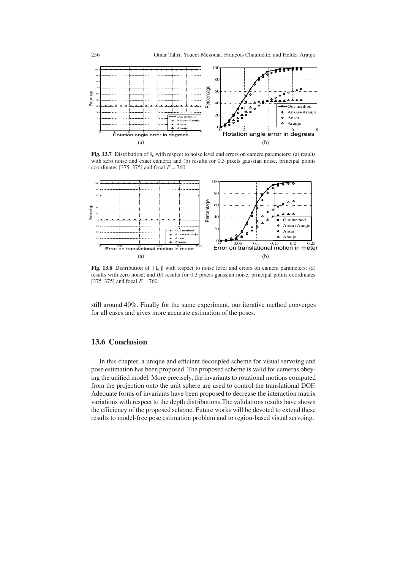

**Fig. 13.7** Distribution of θ*<sup>e</sup>* with respect to noise level and errors on camera parameters: (a) results with zero noise and exact camera; and (b) results for 0.3 pixels gaussian noise, principal points coordinates [375 375] and focal  $F = 760$ .



**Fig. 13.8** Distribution of  $\|\mathbf{t}_e\|$  with respect to noise level and errors on camera parameters: (a) results with zero noise; and (b) results for 0.3 pixels gaussian noise, principal points coordinates [375 375] and focal  $F = 760$ .

still around 40%. Finally for the same experiment, our iterative method converges for all cases and gives more accurate estimation of the poses.

### **13.6 Conclusion**

In this chapter, a unique and efficient decoupled scheme for visual servoing and pose estimation has been proposed. The proposed scheme is valid for cameras obeying the unified model. More precisely, the invariants to rotational motions computed from the projection onto the unit sphere are used to control the translational DOF. Adequate forms of invariants have been proposed to decrease the interaction matrix variations with respect to the depth distributions.The validations results have shown the efficiency of the proposed scheme. Future works will be devoted to extend these results to model-free pose estimation problem and to region-based visual servoing.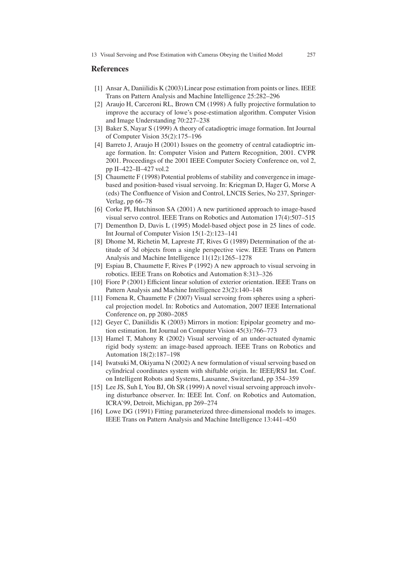#### **References**

- [1] Ansar A, Daniilidis K (2003) Linear pose estimation from points or lines. IEEE Trans on Pattern Analysis and Machine Intelligence 25:282–296
- [2] Araujo H, Carceroni RL, Brown CM (1998) A fully projective formulation to improve the accuracy of lowe's pose-estimation algorithm. Computer Vision and Image Understanding 70:227–238
- [3] Baker S, Nayar S (1999) A theory of catadioptric image formation. Int Journal of Computer Vision 35(2):175–196
- [4] Barreto J, Araujo H (2001) Issues on the geometry of central catadioptric image formation. In: Computer Vision and Pattern Recognition, 2001. CVPR 2001. Proceedings of the 2001 IEEE Computer Society Conference on, vol 2, pp II–422–II–427 vol.2
- [5] Chaumette F (1998) Potential problems of stability and convergence in imagebased and position-based visual servoing. In: Kriegman D, Hager G, Morse A (eds) The Confluence of Vision and Control, LNCIS Series, No 237, Springer-Verlag, pp 66–78
- [6] Corke PI, Hutchinson SA (2001) A new partitioned approach to image-based visual servo control. IEEE Trans on Robotics and Automation 17(4):507–515
- [7] Dementhon D, Davis L (1995) Model-based object pose in 25 lines of code. Int Journal of Computer Vision 15(1-2):123–141
- [8] Dhome M, Richetin M, Lapreste JT, Rives G (1989) Determination of the attitude of 3d objects from a single perspective view. IEEE Trans on Pattern Analysis and Machine Intelligence 11(12):1265–1278
- [9] Espiau B, Chaumette F, Rives P (1992) A new approach to visual servoing in robotics. IEEE Trans on Robotics and Automation 8:313–326
- [10] Fiore P (2001) Efficient linear solution of exterior orientation. IEEE Trans on Pattern Analysis and Machine Intelligence 23(2):140–148
- [11] Fomena R, Chaumette F (2007) Visual servoing from spheres using a spherical projection model. In: Robotics and Automation, 2007 IEEE International Conference on, pp 2080–2085
- [12] Geyer C, Daniilidis K (2003) Mirrors in motion: Epipolar geometry and motion estimation. Int Journal on Computer Vision 45(3):766–773
- [13] Hamel T, Mahony R (2002) Visual servoing of an under-actuated dynamic rigid body system: an image-based approach. IEEE Trans on Robotics and Automation 18(2):187–198
- [14] Iwatsuki M, Okiyama N (2002) A new formulation of visual servoing based on cylindrical coordinates system with shiftable origin. In: IEEE/RSJ Int. Conf. on Intelligent Robots and Systems, Lausanne, Switzerland, pp 354–359
- [15] Lee JS, Suh I, You BJ, Oh SR (1999) A novel visual servoing approach involving disturbance observer. In: IEEE Int. Conf. on Robotics and Automation, ICRA'99, Detroit, Michigan, pp 269–274
- [16] Lowe DG (1991) Fitting parameterized three-dimensional models to images. IEEE Trans on Pattern Analysis and Machine Intelligence 13:441–450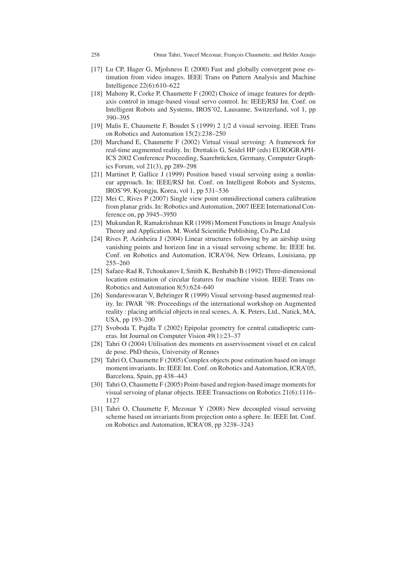- [17] Lu CP, Hager G, Mjolsness E (2000) Fast and globally convergent pose estimation from video images. IEEE Trans on Pattern Analysis and Machine Intelligence 22(6):610–622
- [18] Mahony R, Corke P, Chaumette F (2002) Choice of image features for depthaxis control in image-based visual servo control. In: IEEE/RSJ Int. Conf. on Intelligent Robots and Systems, IROS'02, Lausanne, Switzerland, vol 1, pp 390–395
- [19] Malis E, Chaumette F, Boudet S (1999) 2 1/2 d visual servoing. IEEE Trans on Robotics and Automation 15(2):238–250
- [20] Marchand E, Chaumette F (2002) Virtual visual servoing: A framework for real-time augmented reality. In: Drettakis G, Seidel HP (eds) EUROGRAPH-ICS 2002 Conference Proceeding, Saarebrücken, Germany, Computer Graphics Forum, vol 21(3), pp 289–298
- [21] Martinet P, Gallice J (1999) Position based visual servoing using a nonlinear approach. In: IEEE/RSJ Int. Conf. on Intelligent Robots and Systems, IROS'99, Kyongju, Korea, vol 1, pp 531–536
- [22] Mei C, Rives P (2007) Single view point omnidirectional camera calibration from planar grids. In: Robotics and Automation, 2007 IEEE International Conference on, pp 3945–3950
- [23] Mukundan R, Ramakrishnan KR (1998) Moment Functions in Image Analysis Theory and Application. M. World Scientific Publishing, Co.Pte.Ltd
- [24] Rives P, Azinheira J (2004) Linear structures following by an airship using vanishing points and horizon line in a visual servoing scheme. In: IEEE Int. Conf. on Robotics and Automation, ICRA'04, New Orleans, Louisiana, pp 255–260
- [25] Safaee-Rad R, Tchoukanov I, Smith K, Benhabib B (1992) Three-dimensional location estimation of circular features for machine vision. IEEE Trans on-Robotics and Automation 8(5):624–640
- [26] Sundareswaran V, Behringer R (1999) Visual servoing-based augmented reality. In: IWAR '98: Proceedings of the international workshop on Augmented reality : placing artificial objects in real scenes, A. K. Peters, Ltd., Natick, MA, USA, pp 193–200
- [27] Svoboda T, Pajdla T (2002) Epipolar geometry for central catadioptric cameras. Int Journal on Computer Vision 49(1):23–37
- [28] Tahri O (2004) Utilisation des moments en asservissement visuel et en calcul de pose. PhD thesis, University of Rennes
- [29] Tahri O, Chaumette F (2005) Complex objects pose estimation based on image moment invariants. In: IEEE Int. Conf. on Robotics and Automation, ICRA'05, Barcelona, Spain, pp 438–443
- [30] Tahri O, Chaumette F (2005) Point-based and region-based image moments for visual servoing of planar objects. IEEE Transactions on Robotics 21(6):1116– 1127
- [31] Tahri O, Chaumette F, Mezouar Y (2008) New decoupled visual servoing scheme based on invariants from projection onto a sphere. In: IEEE Int. Conf. on Robotics and Automation, ICRA'08, pp 3238–3243